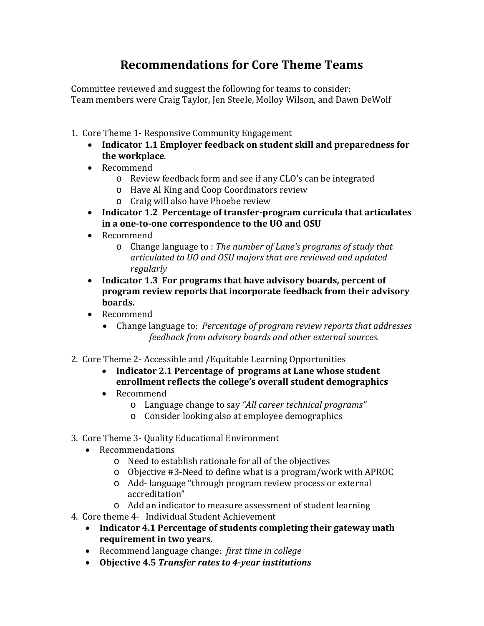## **Recommendations for Core Theme Teams**

Committee reviewed and suggest the following for teams to consider: Team members were Craig Taylor, Jen Steele, Molloy Wilson, and Dawn DeWolf

- 1. Core Theme 1- Responsive Community Engagement
	- **Indicator 1.1 Employer feedback on student skill and preparedness for the workplace**.
	- Recommend
		- o Review feedback form and see if any CLO's can be integrated
		- o Have Al King and Coop Coordinators review
		- o Craig will also have Phoebe review
	- **Indicator 1.2 Percentage of transfer-program curricula that articulates in a one-to-one correspondence to the UO and OSU**
	- Recommend
		- o Change language to : *The number of Lane's programs of study that articulated to UO and OSU majors that are reviewed and updated regularly*
	- **Indicator 1.3 For programs that have advisory boards, percent of program review reports that incorporate feedback from their advisory boards.**
	- Recommend
		- Change language to: *Percentage of program review reports that addresses feedback from advisory boards and other external sources.*
- 2. Core Theme 2- Accessible and /Equitable Learning Opportunities
	- **Indicator 2.1 Percentage of programs at Lane whose student enrollment reflects the college's overall student demographics**
	- Recommend
		- o Language change to say *"All career technical programs"*
		- o Consider looking also at employee demographics
- 3. Core Theme 3- Quality Educational Environment
	- Recommendations
		- o Need to establish rationale for all of the objectives
		- o Objective #3-Need to define what is a program/work with APROC
		- o Add- language "through program review process or external accreditation"
		- o Add an indicator to measure assessment of student learning
- 4. Core theme 4- Individual Student Achievement
	- **Indicator 4.1 Percentage of students completing their gateway math requirement in two years.**
	- Recommend language change: *first time in college*
	- **Objective 4.5** *Transfer rates to 4-year institutions*